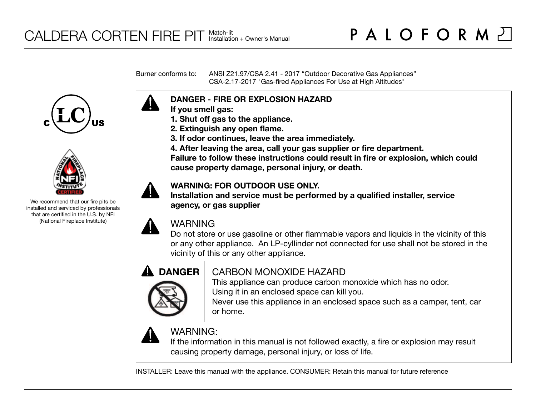Burner conforms to: ANSI Z21.97/CSA 2.41 - 2017 "Outdoor Decorative Gas Appliances" CSA-2.17-2017 "Gas-fired Appliances For Use at High Altitudes"





We recommend that our fire pits be installed and serviced by professionals that are certified in the U.S. by NFI (National Fireplace Institute)



- **If you smell gas:**
- **1. Shut off gas to the appliance.**
- **2. Extinguish any open flame.**
- **3. If odor continues, leave the area immediately.**
- **4. After leaving the area, call your gas supplier or fire department.**

**Failure to follow these instructions could result in fire or explosion, which could cause property damage, personal injury, or death.**

# **WARNING: FOR OUTDOOR USE ONLY.**

**Installation and service must be performed by a qualified installer, service agency, or gas supplier**



# WARNING

Do not store or use gasoline or other flammable vapors and liquids in the vicinity of this or any other appliance. An LP-cyllinder not connected for use shall not be stored in the vicinity of this or any other appliance.



# CARBON MONOXIDE HAZARD

This appliance can produce carbon monoxide which has no odor. Using it in an enclosed space can kill you.

Never use this appliance in an enclosed space such as a camper, tent, car or home.



# WARNING:

If the information in this manual is not followed exactly, a fire or explosion may result causing property damage, personal injury, or loss of life.

INSTALLER: Leave this manual with the appliance. CONSUMER: Retain this manual for future reference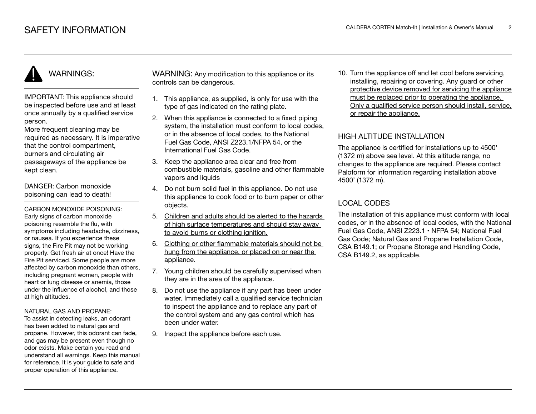# WARNINGS:

IMPORTANT: This appliance should be inspected before use and at least once annually by a qualified service person.

More frequent cleaning may be required as necessary. It is imperative that the control compartment, burners and circulating air passageways of the appliance be kept clean.

DANGER: Carbon monoxide poisoning can lead to death!

CARBON MONOXIDE POISONING: Early signs of carbon monoxide poisoning resemble the flu, with symptoms including headache, dizziness, or nausea. If you experience these signs, the Fire Pit may not be working properly. Get fresh air at once! Have the Fire Pit serviced. Some people are more affected by carbon monoxide than others, including pregnant women, people with heart or lung disease or anemia, those under the influence of alcohol, and those at high altitudes.

#### NATURAL GAS AND PROPANE:

To assist in detecting leaks, an odorant has been added to natural gas and propane. However, this odorant can fade, and gas may be present even though no odor exists. Make certain you read and understand all warnings. Keep this manual for reference. It is your guide to safe and proper operation of this appliance.

WARNING: Any modification to this appliance or its controls can be dangerous.

- 1. This appliance, as supplied, is only for use with the type of gas indicated on the rating plate.
- 2. When this appliance is connected to a fixed piping system, the installation must conform to local codes. or in the absence of local codes, to the National Fuel Gas Code, ANSI Z223.1/NFPA 54, or the International Fuel Gas Code.
- 3. Keep the appliance area clear and free from combustible materials, gasoline and other flammable vapors and liquids
- 4. Do not burn solid fuel in this appliance. Do not use this appliance to cook food or to burn paper or other objects.
- 5. Children and adults should be alerted to the hazards of high surface temperatures and should stay away to avoid burns or clothing ignition.
- 6. Clothing or other flammable materials should not be hung from the appliance, or placed on or near the appliance.
- 7. Young children should be carefully supervised when they are in the area of the appliance.
- 8. Do not use the appliance if any part has been under water. Immediately call a qualified service technician to inspect the appliance and to replace any part of the control system and any gas control which has been under water.
- 9. Inspect the appliance before each use.

10. Turn the appliance off and let cool before servicing, installing, repairing or covering. Any guard or other protective device removed for servicing the appliance must be replaced prior to operating the appliance. Only a qualified service person should install, service, or repair the appliance.

## HIGH ALTITUDE INSTALLATION

The appliance is certified for installations up to 4500' (1372 m) above sea level. At this altitude range, no changes to the appliance are required. Please contact Paloform for information regarding installation above 4500' (1372 m).

# LOCAL CODES

The installation of this appliance must conform with local codes, or in the absence of local codes, with the National Fuel Gas Code, ANSI Z223.1 • NFPA 54; National Fuel Gas Code; Natural Gas and Propane Installation Code, CSA B149.1; or Propane Storage and Handling Code, CSA B149.2, as applicable.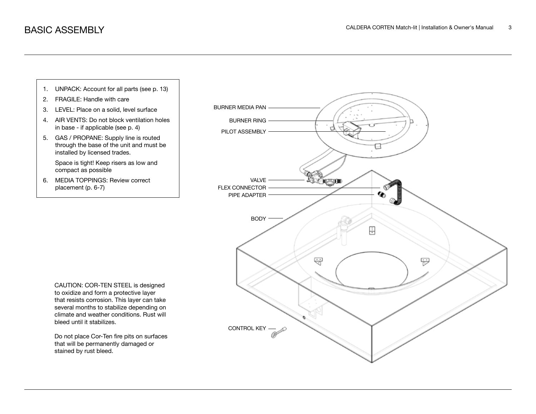

stained by rust bleed.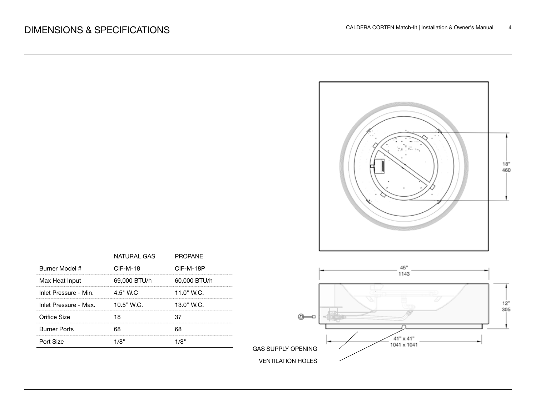

|                       | NATURAL GAS  | <b>PROPANE</b> |
|-----------------------|--------------|----------------|
| Burner Model #        | $CIF-M-18$   | CIF-M-18P      |
| Max Heat Input        | 69,000 BTU/h | 60,000 BTU/h   |
| Inlet Pressure - Min. | $4.5"$ W.C.  | 11.0" W.C.     |
| Inlet Pressure - Max. | $10.5"$ W.C. | $13.0"$ W.C.   |
| Orifice Size          |              |                |
| <b>Burner Ports</b>   |              |                |
| Port Size             |              |                |

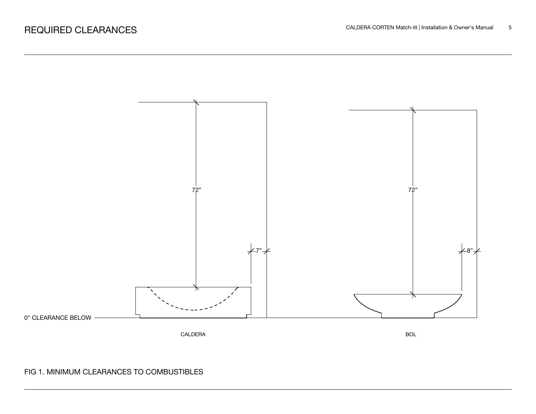

# FIG 1. MINIMUM CLEARANCES TO COMBUSTIBLES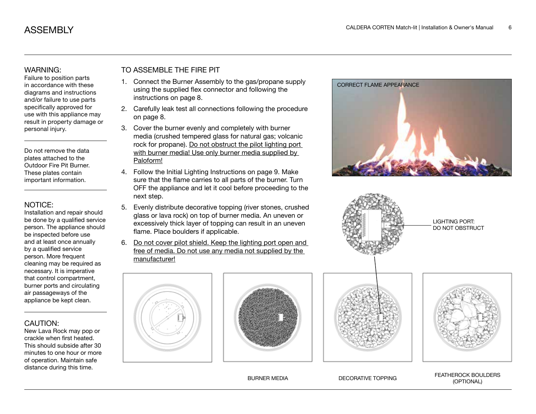#### WARNING:

Failure to position parts in accordance with these diagrams and instructions and/or failure to use parts specifically approved for use with this appliance may result in property damage or personal injury.

Do not remove the data plates attached to the Outdoor Fire Pit Burner. These plates contain important information.

#### NOTICE:

Installation and repair should be done by a qualified service person. The appliance should be inspected before use and at least once annually by a qualified service person. More frequent cleaning may be required as necessary. It is imperative that control compartment, burner ports and circulating air passageways of the appliance be kept clean.

#### CAUTION:

New Lava Rock may pop or crackle when first heated. This should subside after 30 minutes to one hour or more of operation. Maintain safe distance during this time.

# TO ASSEMBLE THE FIRE PIT

- 1. Connect the Burner Assembly to the gas/propane supply using the supplied flex connector and following the instructions on page 8.
- 2. Carefully leak test all connections following the procedure on page 8.
- 3. Cover the burner evenly and completely with burner media (crushed tempered glass for natural gas; volcanic rock for propane). Do not obstruct the pilot lighting port with burner media! Use only burner media supplied by Paloform!
- 4. Follow the Initial Lighting Instructions on page 9. Make sure that the flame carries to all parts of the burner. Turn OFF the appliance and let it cool before proceeding to the next step.
- 5. Evenly distribute decorative topping (river stones, crushed glass or lava rock) on top of burner media. An uneven or excessively thick layer of topping can result in an uneven flame. Place boulders if applicable.
- 6. Do not cover pilot shield. Keep the lighting port open and free of media. Do not use any media not supplied by the manufacturer!









BURNER MEDIA DECORATIVE TOPPING FEATHEROCK BOULDERS (OPTIONAL)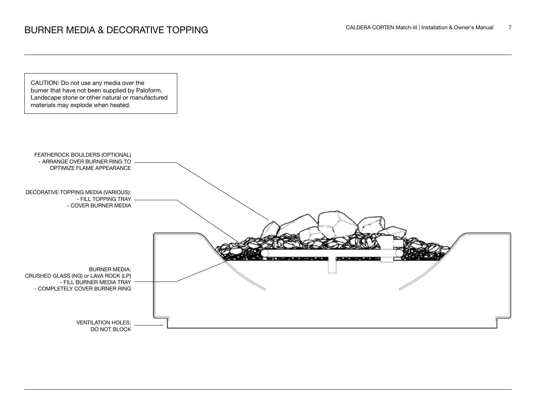CAUTION: Do not use any media over the burner that have not been supplied by Paloform. Landscape stone or other natural or manufactured materials may explode when heated.

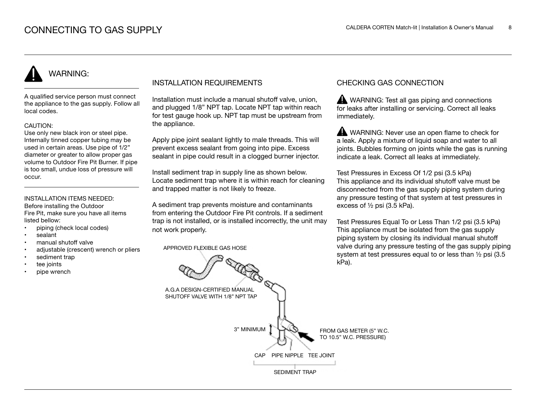# WARNING:

A qualified service person must connect the appliance to the gas supply. Follow all local codes.

#### CAUTION:

Use only new black iron or steel pipe. Internally tinned copper tubing may be used in certain areas. Use pipe of 1/2" diameter or greater to allow proper gas volume to Outdoor Fire Pit Burner. If pipe is too small, undue loss of pressure will occur.

### INSTALLATION ITEMS NEEDED:

Before installing the Outdoor Fire Pit, make sure you have all items listed bellow:

- piping (check local codes)
- sealant
- manual shutoff valve
- adjustable (crescent) wrench or pliers
- sediment trap
- tee joints
- pipe wrench

### INSTALLATION REQUIREMENTS

Installation must include a manual shutoff valve, union, and plugged 1/8" NPT tap. Locate NPT tap within reach for test gauge hook up. NPT tap must be upstream from the appliance.

Apply pipe joint sealant lightly to male threads. This will prevent excess sealant from going into pipe. Excess sealant in pipe could result in a clogged burner injector.

Install sediment trap in supply line as shown below. Locate sediment trap where it is within reach for cleaning and trapped matter is not likely to freeze.

A sediment trap prevents moisture and contaminants from entering the Outdoor Fire Pit controls. If a sediment trap is not installed, or is installed incorrectly, the unit may not work properly.

APPROVED FLEXIBLE GAS HOSE

### CHECKING GAS CONNECTION

WARNING: Test all gas piping and connections for leaks after installing or servicing. Correct all leaks immediately.

WARNING: Never use an open flame to check for a leak. Apply a mixture of liquid soap and water to all joints. Bubbles forming on joints while the gas is running indicate a leak. Correct all leaks at immediately.

Test Pressures in Excess Of 1/2 psi (3.5 kPa) This appliance and its individual shutoff valve must be disconnected from the gas supply piping system during any pressure testing of that system at test pressures in excess of ½ psi (3.5 kPa).

Test Pressures Equal To or Less Than 1/2 psi (3.5 kPa) This appliance must be isolated from the gas supply piping system by closing its individual manual shutoff valve during any pressure testing of the gas supply piping system at test pressures equal to or less than ½ psi (3.5 kPa).

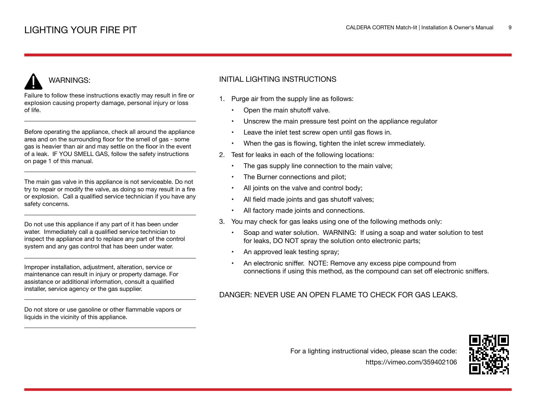# WARNINGS:

Failure to follow these instructions exactly may result in fire or explosion causing property damage, personal injury or loss of life.

Before operating the appliance, check all around the appliance area and on the surrounding floor for the smell of gas - some gas is heavier than air and may settle on the floor in the event of a leak. IF YOU SMELL GAS, follow the safety instructions on page 1 of this manual.

The main gas valve in this appliance is not serviceable. Do not try to repair or modify the valve, as doing so may result in a fire or explosion. Call a qualified service technician if you have any safety concerns.

Do not use this appliance if any part of it has been under water. Immediately call a qualified service technician to inspect the appliance and to replace any part of the control system and any gas control that has been under water.

Improper installation, adjustment, alteration, service or maintenance can result in injury or property damage. For assistance or additional information, consult a qualified installer, service agency or the gas supplier.

Do not store or use gasoline or other flammable vapors or liquids in the vicinity of this appliance.

# INITIAL LIGHTING INSTRUCTIONS

- 1. Purge air from the supply line as follows:
	- Open the main shutoff valve.
	- Unscrew the main pressure test point on the appliance regulator
	- Leave the inlet test screw open until gas flows in.
	- When the gas is flowing, tighten the inlet screw immediately.
- 2. Test for leaks in each of the following locations:
	- The gas supply line connection to the main valve;
	- The Burner connections and pilot;
	- All joints on the valve and control body;
	- All field made joints and gas shutoff valves;
	- All factory made joints and connections.
- 3. You may check for gas leaks using one of the following methods only:
	- Soap and water solution. WARNING: If using a soap and water solution to test for leaks, DO NOT spray the solution onto electronic parts;
	- An approved leak testing spray;
	- An electronic sniffer. NOTE: Remove any excess pipe compound from connections if using this method, as the compound can set off electronic sniffers.

# DANGER: NEVER USE AN OPEN FLAME TO CHECK FOR GAS LEAKS.



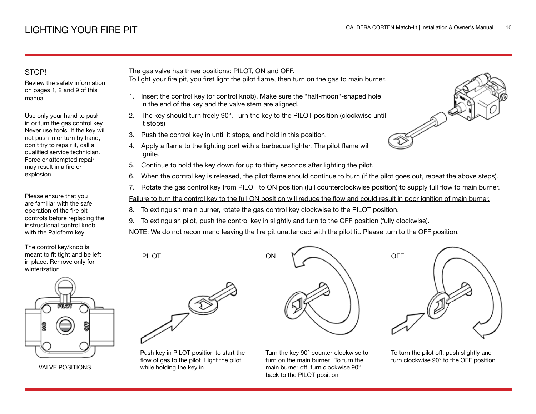## STOP!

Review the safety information on pages 1, 2 and 9 of this manual.

Use only your hand to push in or turn the gas control key. Never use tools. If the key will not push in or turn by hand, don't try to repair it, call a qualified service technician. Force or attempted repair may result in a fire or explosion.

Please ensure that you are familiar with the safe operation of the fire pit controls before replacing the instructional control knob with the Paloform key.

The control key/knob is meant to fit tight and be left in place. Remove only for winterization.



VALVE POSITIONS

The gas valve has three positions: PILOT, ON and OFF.

- To light your fire pit, you first light the pilot flame, then turn on the gas to main burner.
	- 1. Insert the control key (or control knob). Make sure the "half-moon"-shaped hole in the end of the key and the valve stem are aligned.
- 2. The key should turn freely 90°. Turn the key to the PILOT position (clockwise until it stops)
- 3. Push the control key in until it stops, and hold in this position.
- 4. Apply a flame to the lighting port with a barbecue lighter. The pilot flame will ignite.
- 5. Continue to hold the key down for up to thirty seconds after lighting the pilot.
- 6. When the control key is released, the pilot flame should continue to burn (if the pilot goes out, repeat the above steps).
- 7. Rotate the gas control key from PILOT to ON position (full counterclockwise position) to supply full flow to main burner.

Failure to turn the control key to the full ON position will reduce the flow and could result in poor ignition of main burner.

- 8. To extinguish main burner, rotate the gas control key clockwise to the PILOT position.
- 9. To extinguish pilot, push the control key in slightly and turn to the OFF position (fully clockwise).

NOTE: We do not recommend leaving the fire pit unattended with the pilot lit. Please turn to the OFF position.



PILOT

Push key in PILOT position to start the flow of gas to the pilot. Light the pilot while holding the key in



Turn the key 90° counter-clockwise to turn on the main burner. To turn the main burner off, turn clockwise 90° back to the PILOT position



To turn the pilot off, push slightly and turn clockwise 90° to the OFF position.

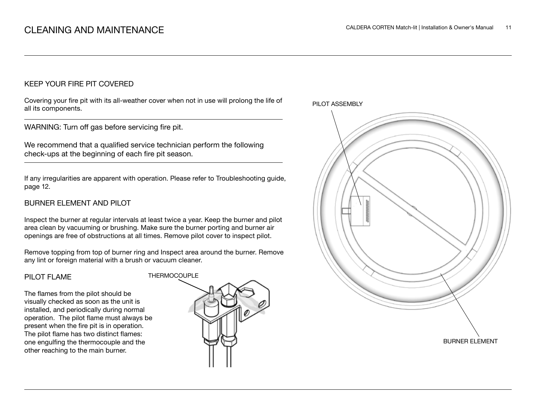### KEEP YOUR FIRE PIT COVERED

Covering your fire pit with its all-weather cover when not in use will prolong the life of all its components.

WARNING: Turn off gas before servicing fire pit.

We recommend that a qualified service technician perform the following check-ups at the beginning of each fire pit season.

If any irregularities are apparent with operation. Please refer to Troubleshooting guide, page 12.

## BURNER ELEMENT AND PILOT

Inspect the burner at regular intervals at least twice a year. Keep the burner and pilot area clean by vacuuming or brushing. Make sure the burner porting and burner air openings are free of obstructions at all times. Remove pilot cover to inspect pilot.

Remove topping from top of burner ring and Inspect area around the burner. Remove any lint or foreign material with a brush or vacuum cleaner.

#### PILOT FLAME

The flames from the pilot should be visually checked as soon as the unit is installed, and periodically during normal operation. The pilot flame must always be present when the fire pit is in operation. The pilot flame has two distinct flames: one engulfing the thermocouple and the other reaching to the main burner.



PILOT ASSEMBLY

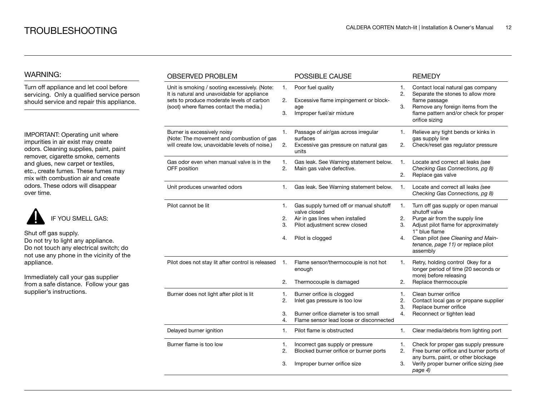### WARNING:

Turn off appliance and let cool before servicing. Only a qualified service person should service and repair this appliance.

IMPORTANT: Operating unit where impurities in air exist may create odors. Cleaning supplies, paint, paint remover, cigarette smoke, cements and glues, new carpet or textiles, etc., create fumes. These fumes may mix with combustion air and create odors. These odors will disappear over time.



Shut off gas supply. Do not try to light any appliance. Do not touch any electrical switch; do not use any phone in the vicinity of the

appliance.

Immediately call your gas supplier from a safe distance. Follow your gas supplier's instructions.

| <b>OBSERVED PROBLEM</b>                                                                                                                                                              |                      | POSSIBLE CAUSE                                                                                                                                  |                      | <b>REMEDY</b>                                                                                                                                                                                                                           |
|--------------------------------------------------------------------------------------------------------------------------------------------------------------------------------------|----------------------|-------------------------------------------------------------------------------------------------------------------------------------------------|----------------------|-----------------------------------------------------------------------------------------------------------------------------------------------------------------------------------------------------------------------------------------|
| Unit is smoking / sooting excessively. (Note:<br>It is natural and unavoidable for appliance<br>sets to produce moderate levels of carbon<br>(soot) where flames contact the media.) | 1.<br>2.<br>3.       | Poor fuel quality<br>Excessive flame impingement or block-<br>age<br>Improper fuel/air mixture                                                  | 1.<br>2.<br>3.       | Contact local natural gas company<br>Separate the stones to allow more<br>flame passage<br>Remove any foreign items from the<br>flame pattern and/or check for proper<br>orifice sizing                                                 |
| Burner is excessively noisy<br>(Note: The movement and combustion of gas<br>will create low, unavoidable levels of noise.)                                                           | 1.<br>2.             | Passage of air/gas across irregular<br>surfaces<br>Excessive gas pressure on natural gas<br>units                                               | 1.<br>2.             | Relieve any tight bends or kinks in<br>gas supply line<br>Check/reset gas regulator pressure                                                                                                                                            |
| Gas odor even when manual valve is in the<br>OFF position                                                                                                                            | 1.<br>2.             | Gas leak. See Warning statement below.<br>Main gas valve defective.                                                                             | 1.<br>2.             | Locate and correct all leaks (see<br>Checking Gas Connections, pg 8)<br>Replace gas valve                                                                                                                                               |
| Unit produces unwanted odors                                                                                                                                                         | 1.                   | Gas leak. See Warning statement below.                                                                                                          | 1.                   | Locate and correct all leaks (see<br>Checking Gas Connections, pg 8)                                                                                                                                                                    |
| Pilot cannot be lit                                                                                                                                                                  | 1.<br>2.<br>3.<br>4. | Gas supply turned off or manual shutoff<br>valve closed<br>Air in gas lines when installed<br>Pilot adjustment screw closed<br>Pilot is clogged | 1.<br>2.<br>3.<br>4. | Turn off gas supply or open manual<br>shutoff valve<br>Purge air from the supply line<br>Adjust pilot flame for approximately<br>1" blue flame<br>Clean pilot (see Cleaning and Main-<br>tenance, page 11) or replace pilot<br>assembly |
| Pilot does not stay lit after control is released                                                                                                                                    | 1.<br>2.             | Flame sensor/thermocouple is not hot<br>enough<br>Thermocouple is damaged                                                                       | 1.<br>2.             | Retry, holding control 0key for a<br>longer period of time (20 seconds or<br>more) before releasing<br>Replace thermocouple                                                                                                             |
| Burner does not light after pilot is lit                                                                                                                                             | 1.<br>2.<br>3.<br>4. | Burner orifice is clogged<br>Inlet gas pressure is too low<br>Burner orifice diameter is too small<br>Flame sensor lead loose or disconnected   | 1.<br>2.<br>3.<br>4. | Clean burner orifice<br>Contact local gas or propane supplier<br>Replace burner orifice<br>Reconnect or tighten lead                                                                                                                    |
| Delayed burner ignition                                                                                                                                                              | 1.                   | Pilot flame is obstructed                                                                                                                       | 1.                   | Clear media/debris from lighting port                                                                                                                                                                                                   |
| Burner flame is too low                                                                                                                                                              | 1.<br>2.<br>3.       | Incorrect gas supply or pressure<br>Blocked burner orifice or burner ports<br>Improper burner orifice size                                      | 1.<br>2.<br>3.       | Check for proper gas supply pressure<br>Free burner orifice and burner ports of<br>any burrs, paint, or other blockage<br>Verify proper burner orifice sizing (see<br>page 4)                                                           |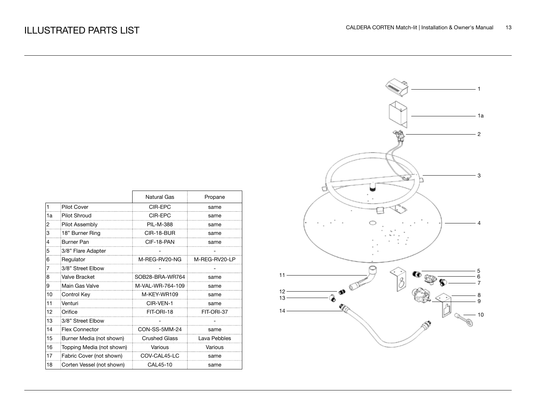|    |                           | <b>Natural Gas</b>   | Propane       |
|----|---------------------------|----------------------|---------------|
| 1  | <b>Pilot Cover</b>        | CIR-EPC              | same          |
| 1a | Pilot Shroud              | CIR-EPC              | same          |
| 2  | <b>Pilot Assembly</b>     | PIL-M-388            | same          |
| 3  | 18" Burner Ring           | CIR-18-BUR           | same          |
| 4  | Burner Pan                | CIF-18-PAN           | same          |
| 5  | 3/8" Flare Adapter        |                      |               |
| 6  | Regulator                 | M-REG-RV20-NG        | M-REG-RV20-LP |
| 7  | 3/8" Street Elbow         |                      |               |
| 8  | Valve Bracket             | SOB28-BRA-WR764      | same          |
| 9  | Main Gas Valve            | M-VAL-WR-764-109     | same          |
| 10 | Control Key               | M-KEY-WR109          | same          |
| 11 | Venturi                   | CIR-VEN-1            | same          |
| 12 | Orifice                   | FIT-ORI-18           | FIT-ORI-37    |
| 13 | 3/8" Street Elbow         |                      |               |
| 14 | <b>Flex Connector</b>     | CON-SS-5MM-24        | same          |
| 15 | Burner Media (not shown)  | <b>Crushed Glass</b> | Lava Pebbles  |
| 16 | Topping Media (not shown) | Various              | Various       |
| 17 | Fabric Cover (not shown)  | COV-CAL45-LC         | same          |
| 18 | Corten Vessel (not shown) | CAL45-10             | same          |